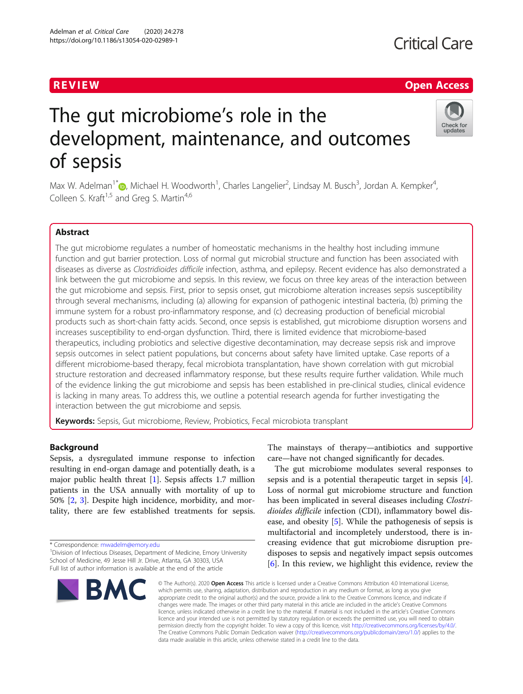## **Critical Care**

### R EVI EW Open Access

Check for updates

# The gut microbiome's role in the development, maintenance, and outcomes of sepsis



#### Abstract

The gut microbiome regulates a number of homeostatic mechanisms in the healthy host including immune function and gut barrier protection. Loss of normal gut microbial structure and function has been associated with diseases as diverse as Clostridioides difficile infection, asthma, and epilepsy. Recent evidence has also demonstrated a link between the gut microbiome and sepsis. In this review, we focus on three key areas of the interaction between the gut microbiome and sepsis. First, prior to sepsis onset, gut microbiome alteration increases sepsis susceptibility through several mechanisms, including (a) allowing for expansion of pathogenic intestinal bacteria, (b) priming the immune system for a robust pro-inflammatory response, and (c) decreasing production of beneficial microbial products such as short-chain fatty acids. Second, once sepsis is established, gut microbiome disruption worsens and increases susceptibility to end-organ dysfunction. Third, there is limited evidence that microbiome-based therapeutics, including probiotics and selective digestive decontamination, may decrease sepsis risk and improve sepsis outcomes in select patient populations, but concerns about safety have limited uptake. Case reports of a different microbiome-based therapy, fecal microbiota transplantation, have shown correlation with gut microbial structure restoration and decreased inflammatory response, but these results require further validation. While much of the evidence linking the gut microbiome and sepsis has been established in pre-clinical studies, clinical evidence is lacking in many areas. To address this, we outline a potential research agenda for further investigating the interaction between the gut microbiome and sepsis.

Keywords: Sepsis, Gut microbiome, Review, Probiotics, Fecal microbiota transplant

#### Background

Sepsis, a dysregulated immune response to infection resulting in end-organ damage and potentially death, is a major public health threat [\[1](#page-7-0)]. Sepsis affects 1.7 million patients in the USA annually with mortality of up to 50% [\[2](#page-7-0), [3\]](#page-7-0). Despite high incidence, morbidity, and mortality, there are few established treatments for sepsis.

\* Correspondence: [mwadelm@emory.edu](mailto:mwadelm@emory.edu) <sup>1</sup>

<sup>&</sup>lt;sup>1</sup> Division of Infectious Diseases, Department of Medicine, Emory University School of Medicine, 49 Jesse Hill Jr. Drive, Atlanta, GA 30303, USA Full list of author information is available at the end of the article



The mainstays of therapy—antibiotics and supportive care—have not changed significantly for decades.

The gut microbiome modulates several responses to sepsis and is a potential therapeutic target in sepsis [\[4](#page-7-0)]. Loss of normal gut microbiome structure and function has been implicated in several diseases including Clostridioides difficile infection (CDI), inflammatory bowel disease, and obesity [[5\]](#page-7-0). While the pathogenesis of sepsis is multifactorial and incompletely understood, there is increasing evidence that gut microbiome disruption predisposes to sepsis and negatively impact sepsis outcomes [[6\]](#page-7-0). In this review, we highlight this evidence, review the

© The Author(s), 2020 **Open Access** This article is licensed under a Creative Commons Attribution 4.0 International License, which permits use, sharing, adaptation, distribution and reproduction in any medium or format, as long as you give appropriate credit to the original author(s) and the source, provide a link to the Creative Commons licence, and indicate if changes were made. The images or other third party material in this article are included in the article's Creative Commons licence, unless indicated otherwise in a credit line to the material. If material is not included in the article's Creative Commons licence and your intended use is not permitted by statutory regulation or exceeds the permitted use, you will need to obtain permission directly from the copyright holder. To view a copy of this licence, visit [http://creativecommons.org/licenses/by/4.0/.](http://creativecommons.org/licenses/by/4.0/) The Creative Commons Public Domain Dedication waiver [\(http://creativecommons.org/publicdomain/zero/1.0/](http://creativecommons.org/publicdomain/zero/1.0/)) applies to the data made available in this article, unless otherwise stated in a credit line to the data.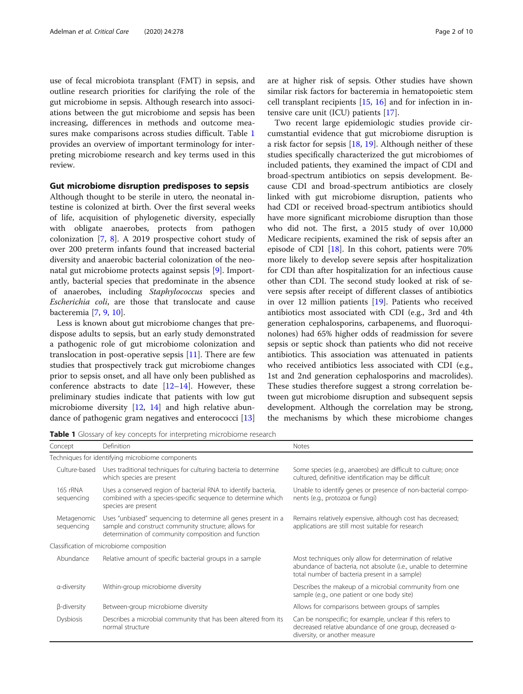<span id="page-1-0"></span>use of fecal microbiota transplant (FMT) in sepsis, and outline research priorities for clarifying the role of the gut microbiome in sepsis. Although research into associations between the gut microbiome and sepsis has been increasing, differences in methods and outcome measures make comparisons across studies difficult. Table 1 provides an overview of important terminology for interpreting microbiome research and key terms used in this review.

#### Gut microbiome disruption predisposes to sepsis

Although thought to be sterile in utero, the neonatal intestine is colonized at birth. Over the first several weeks of life, acquisition of phylogenetic diversity, especially with obligate anaerobes, protects from pathogen colonization [\[7](#page-7-0), [8](#page-7-0)]. A 2019 prospective cohort study of over 200 preterm infants found that increased bacterial diversity and anaerobic bacterial colonization of the neonatal gut microbiome protects against sepsis [\[9](#page-7-0)]. Importantly, bacterial species that predominate in the absence of anaerobes, including Staphylococcus species and Escherichia coli, are those that translocate and cause bacteremia [\[7](#page-7-0), [9](#page-7-0), [10](#page-7-0)].

Less is known about gut microbiome changes that predispose adults to sepsis, but an early study demonstrated a pathogenic role of gut microbiome colonization and translocation in post-operative sepsis [\[11](#page-7-0)]. There are few studies that prospectively track gut microbiome changes prior to sepsis onset, and all have only been published as conference abstracts to date  $[12-14]$  $[12-14]$  $[12-14]$  $[12-14]$  $[12-14]$ . However, these preliminary studies indicate that patients with low gut microbiome diversity [[12](#page-8-0), [14\]](#page-8-0) and high relative abundance of pathogenic gram negatives and enterococci [[13](#page-8-0)]

are at higher risk of sepsis. Other studies have shown similar risk factors for bacteremia in hematopoietic stem cell transplant recipients  $[15, 16]$  $[15, 16]$  $[15, 16]$  $[15, 16]$  and for infection in intensive care unit (ICU) patients [[17\]](#page-8-0).

Two recent large epidemiologic studies provide circumstantial evidence that gut microbiome disruption is a risk factor for sepsis [[18](#page-8-0), [19](#page-8-0)]. Although neither of these studies specifically characterized the gut microbiomes of included patients, they examined the impact of CDI and broad-spectrum antibiotics on sepsis development. Because CDI and broad-spectrum antibiotics are closely linked with gut microbiome disruption, patients who had CDI or received broad-spectrum antibiotics should have more significant microbiome disruption than those who did not. The first, a 2015 study of over 10,000 Medicare recipients, examined the risk of sepsis after an episode of CDI [[18\]](#page-8-0). In this cohort, patients were 70% more likely to develop severe sepsis after hospitalization for CDI than after hospitalization for an infectious cause other than CDI. The second study looked at risk of severe sepsis after receipt of different classes of antibiotics in over 12 million patients [[19\]](#page-8-0). Patients who received antibiotics most associated with CDI (e.g., 3rd and 4th generation cephalosporins, carbapenems, and fluoroquinolones) had 65% higher odds of readmission for severe sepsis or septic shock than patients who did not receive antibiotics. This association was attenuated in patients who received antibiotics less associated with CDI (e.g., 1st and 2nd generation cephalosporins and macrolides). These studies therefore suggest a strong correlation between gut microbiome disruption and subsequent sepsis development. Although the correlation may be strong, the mechanisms by which these microbiome changes

Table 1 Glossary of key concepts for interpreting microbiome research

| Concept                                          | Definition                                                                                                                                                                    | <b>Notes</b>                                                                                                                                                                |  |  |  |  |
|--------------------------------------------------|-------------------------------------------------------------------------------------------------------------------------------------------------------------------------------|-----------------------------------------------------------------------------------------------------------------------------------------------------------------------------|--|--|--|--|
| Techniques for identifying microbiome components |                                                                                                                                                                               |                                                                                                                                                                             |  |  |  |  |
| Culture-based                                    | Uses traditional techniques for culturing bacteria to determine<br>which species are present                                                                                  | Some species (e.g., anaerobes) are difficult to culture; once<br>cultured, definitive identification may be difficult                                                       |  |  |  |  |
| 16S rRNA<br>sequencing                           | Uses a conserved region of bacterial RNA to identify bacteria,<br>combined with a species-specific sequence to determine which<br>species are present                         | Unable to identify genes or presence of non-bacterial compo-<br>nents (e.g., protozoa or fungi)                                                                             |  |  |  |  |
| Metagenomic<br>sequencing                        | Uses "unbiased" sequencing to determine all genes present in a<br>sample and construct community structure; allows for<br>determination of community composition and function | Remains relatively expensive, although cost has decreased;<br>applications are still most suitable for research                                                             |  |  |  |  |
|                                                  | Classification of microbiome composition                                                                                                                                      |                                                                                                                                                                             |  |  |  |  |
| Abundance                                        | Relative amount of specific bacterial groups in a sample                                                                                                                      | Most techniques only allow for determination of relative<br>abundance of bacteria, not absolute (i.e., unable to determine<br>total number of bacteria present in a sample) |  |  |  |  |
| a-diversity                                      | Within-group microbiome diversity                                                                                                                                             | Describes the makeup of a microbial community from one<br>sample (e.g., one patient or one body site)                                                                       |  |  |  |  |
| β-diversity                                      | Between-group microbiome diversity                                                                                                                                            | Allows for comparisons between groups of samples                                                                                                                            |  |  |  |  |
| <b>Dysbiosis</b>                                 | Describes a microbial community that has been altered from its<br>normal structure                                                                                            | Can be nonspecific; for example, unclear if this refers to<br>decreased relative abundance of one group, decreased a-<br>diversity, or another measure                      |  |  |  |  |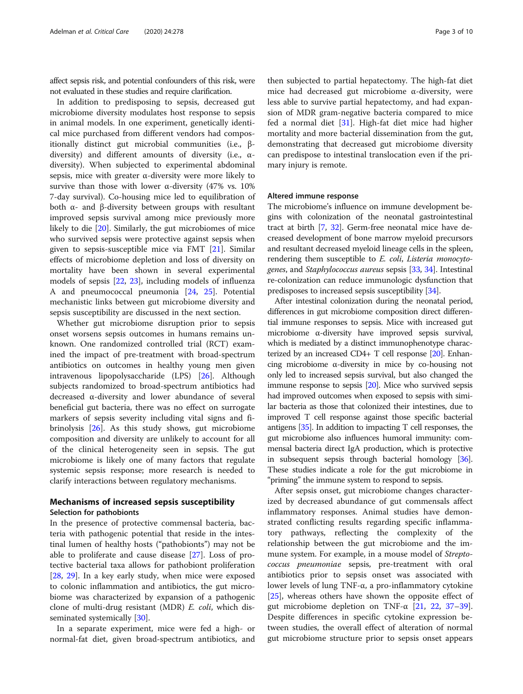affect sepsis risk, and potential confounders of this risk, were not evaluated in these studies and require clarification.

In addition to predisposing to sepsis, decreased gut microbiome diversity modulates host response to sepsis in animal models. In one experiment, genetically identical mice purchased from different vendors had compositionally distinct gut microbial communities (i.e., βdiversity) and different amounts of diversity (i.e., αdiversity). When subjected to experimental abdominal sepsis, mice with greater α-diversity were more likely to survive than those with lower  $\alpha$ -diversity (47% vs. 10%) 7-day survival). Co-housing mice led to equilibration of both α- and β-diversity between groups with resultant improved sepsis survival among mice previously more likely to die [\[20](#page-8-0)]. Similarly, the gut microbiomes of mice who survived sepsis were protective against sepsis when given to sepsis-susceptible mice via FMT [[21\]](#page-8-0). Similar effects of microbiome depletion and loss of diversity on mortality have been shown in several experimental models of sepsis [[22,](#page-8-0) [23](#page-8-0)], including models of influenza A and pneumococcal pneumonia [[24](#page-8-0), [25](#page-8-0)]. Potential mechanistic links between gut microbiome diversity and sepsis susceptibility are discussed in the next section.

Whether gut microbiome disruption prior to sepsis onset worsens sepsis outcomes in humans remains unknown. One randomized controlled trial (RCT) examined the impact of pre-treatment with broad-spectrum antibiotics on outcomes in healthy young men given intravenous lipopolysaccharide (LPS) [\[26\]](#page-8-0). Although subjects randomized to broad-spectrum antibiotics had decreased α-diversity and lower abundance of several beneficial gut bacteria, there was no effect on surrogate markers of sepsis severity including vital signs and fibrinolysis [\[26](#page-8-0)]. As this study shows, gut microbiome composition and diversity are unlikely to account for all of the clinical heterogeneity seen in sepsis. The gut microbiome is likely one of many factors that regulate systemic sepsis response; more research is needed to clarify interactions between regulatory mechanisms.

#### Mechanisms of increased sepsis susceptibility Selection for pathobionts

In the presence of protective commensal bacteria, bacteria with pathogenic potential that reside in the intestinal lumen of healthy hosts ("pathobionts") may not be able to proliferate and cause disease [[27](#page-8-0)]. Loss of protective bacterial taxa allows for pathobiont proliferation [[28,](#page-8-0) [29\]](#page-8-0). In a key early study, when mice were exposed to colonic inflammation and antibiotics, the gut microbiome was characterized by expansion of a pathogenic clone of multi-drug resistant (MDR) E. coli, which dis-seminated systemically [[30\]](#page-8-0).

In a separate experiment, mice were fed a high- or normal-fat diet, given broad-spectrum antibiotics, and

then subjected to partial hepatectomy. The high-fat diet mice had decreased gut microbiome α-diversity, were less able to survive partial hepatectomy, and had expansion of MDR gram-negative bacteria compared to mice fed a normal diet [\[31\]](#page-8-0). High-fat diet mice had higher mortality and more bacterial dissemination from the gut, demonstrating that decreased gut microbiome diversity can predispose to intestinal translocation even if the primary injury is remote.

#### Altered immune response

The microbiome's influence on immune development begins with colonization of the neonatal gastrointestinal tract at birth [[7](#page-7-0), [32](#page-8-0)]. Germ-free neonatal mice have decreased development of bone marrow myeloid precursors and resultant decreased myeloid lineage cells in the spleen, rendering them susceptible to E. coli, Listeria monocytogenes, and Staphylococcus aureus sepsis [\[33,](#page-8-0) [34](#page-8-0)]. Intestinal re-colonization can reduce immunologic dysfunction that predisposes to increased sepsis susceptibility [\[34](#page-8-0)].

After intestinal colonization during the neonatal period, differences in gut microbiome composition direct differential immune responses to sepsis. Mice with increased gut microbiome α-diversity have improved sepsis survival, which is mediated by a distinct immunophenotype characterized by an increased CD4+ T cell response  $[20]$ . Enhancing microbiome α-diversity in mice by co-housing not only led to increased sepsis survival, but also changed the immune response to sepsis  $[20]$  $[20]$ . Mice who survived sepsis had improved outcomes when exposed to sepsis with similar bacteria as those that colonized their intestines, due to improved T cell response against those specific bacterial antigens [[35](#page-8-0)]. In addition to impacting T cell responses, the gut microbiome also influences humoral immunity: commensal bacteria direct IgA production, which is protective in subsequent sepsis through bacterial homology [\[36](#page-8-0)]. These studies indicate a role for the gut microbiome in "priming" the immune system to respond to sepsis.

After sepsis onset, gut microbiome changes characterized by decreased abundance of gut commensals affect inflammatory responses. Animal studies have demonstrated conflicting results regarding specific inflammatory pathways, reflecting the complexity of the relationship between the gut microbiome and the immune system. For example, in a mouse model of Streptococcus pneumoniae sepsis, pre-treatment with oral antibiotics prior to sepsis onset was associated with lower levels of lung TNF-α, a pro-inflammatory cytokine [[25\]](#page-8-0), whereas others have shown the opposite effect of gut microbiome depletion on TNF-α [\[21](#page-8-0), [22](#page-8-0), [37](#page-8-0)–[39](#page-8-0)]. Despite differences in specific cytokine expression between studies, the overall effect of alteration of normal gut microbiome structure prior to sepsis onset appears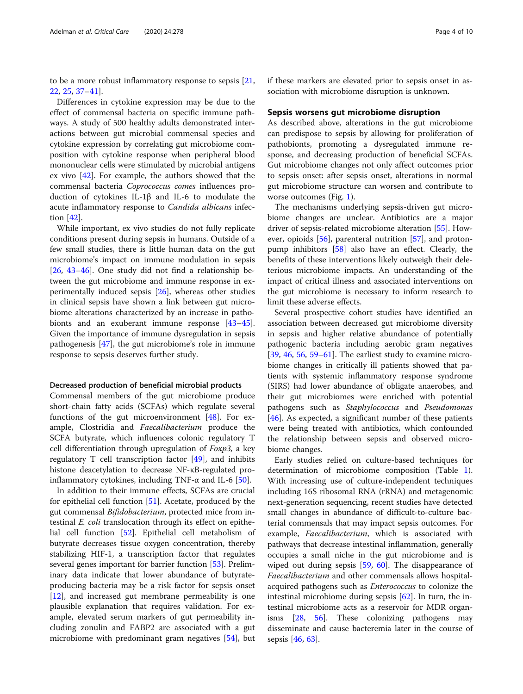to be a more robust inflammatory response to sepsis [[21](#page-8-0), [22,](#page-8-0) [25](#page-8-0), [37](#page-8-0)–[41](#page-8-0)].

Differences in cytokine expression may be due to the effect of commensal bacteria on specific immune pathways. A study of 500 healthy adults demonstrated interactions between gut microbial commensal species and cytokine expression by correlating gut microbiome composition with cytokine response when peripheral blood mononuclear cells were stimulated by microbial antigens ex vivo [[42\]](#page-8-0). For example, the authors showed that the commensal bacteria Coprococcus comes influences production of cytokines IL-1β and IL-6 to modulate the acute inflammatory response to Candida albicans infection [\[42\]](#page-8-0).

While important, ex vivo studies do not fully replicate conditions present during sepsis in humans. Outside of a few small studies, there is little human data on the gut microbiome's impact on immune modulation in sepsis [[26,](#page-8-0) [43](#page-8-0)–[46\]](#page-8-0). One study did not find a relationship between the gut microbiome and immune response in experimentally induced sepsis [[26\]](#page-8-0), whereas other studies in clinical sepsis have shown a link between gut microbiome alterations characterized by an increase in pathobionts and an exuberant immune response [[43](#page-8-0)–[45](#page-8-0)]. Given the importance of immune dysregulation in sepsis pathogenesis [[47](#page-8-0)], the gut microbiome's role in immune response to sepsis deserves further study.

#### Decreased production of beneficial microbial products

Commensal members of the gut microbiome produce short-chain fatty acids (SCFAs) which regulate several functions of the gut microenvironment [\[48\]](#page-8-0). For example, Clostridia and Faecalibacterium produce the SCFA butyrate, which influences colonic regulatory T cell differentiation through upregulation of Foxp3, a key regulatory T cell transcription factor [[49\]](#page-8-0), and inhibits histone deacetylation to decrease NF-κB-regulated proinflammatory cytokines, including TNF- $\alpha$  and IL-6 [\[50](#page-8-0)].

In addition to their immune effects, SCFAs are crucial for epithelial cell function [\[51\]](#page-8-0). Acetate, produced by the gut commensal Bifidobacterium, protected mice from intestinal E. coli translocation through its effect on epithelial cell function [[52](#page-9-0)]. Epithelial cell metabolism of butyrate decreases tissue oxygen concentration, thereby stabilizing HIF-1, a transcription factor that regulates several genes important for barrier function [\[53\]](#page-9-0). Preliminary data indicate that lower abundance of butyrateproducing bacteria may be a risk factor for sepsis onset [[12\]](#page-8-0), and increased gut membrane permeability is one plausible explanation that requires validation. For example, elevated serum markers of gut permeability including zonulin and FABP2 are associated with a gut microbiome with predominant gram negatives [[54\]](#page-9-0), but

if these markers are elevated prior to sepsis onset in association with microbiome disruption is unknown.

#### Sepsis worsens gut microbiome disruption

As described above, alterations in the gut microbiome can predispose to sepsis by allowing for proliferation of pathobionts, promoting a dysregulated immune response, and decreasing production of beneficial SCFAs. Gut microbiome changes not only affect outcomes prior to sepsis onset: after sepsis onset, alterations in normal gut microbiome structure can worsen and contribute to worse outcomes (Fig. [1](#page-4-0)).

The mechanisms underlying sepsis-driven gut microbiome changes are unclear. Antibiotics are a major driver of sepsis-related microbiome alteration [\[55](#page-9-0)]. However, opioids [[56](#page-9-0)], parenteral nutrition [\[57\]](#page-9-0), and protonpump inhibitors [[58](#page-9-0)] also have an effect. Clearly, the benefits of these interventions likely outweigh their deleterious microbiome impacts. An understanding of the impact of critical illness and associated interventions on the gut microbiome is necessary to inform research to limit these adverse effects.

Several prospective cohort studies have identified an association between decreased gut microbiome diversity in sepsis and higher relative abundance of potentially pathogenic bacteria including aerobic gram negatives [[39,](#page-8-0) [46,](#page-8-0) [56,](#page-9-0) [59](#page-9-0)–[61](#page-9-0)]. The earliest study to examine microbiome changes in critically ill patients showed that patients with systemic inflammatory response syndrome (SIRS) had lower abundance of obligate anaerobes, and their gut microbiomes were enriched with potential pathogens such as Staphylococcus and Pseudomonas [[46\]](#page-8-0). As expected, a significant number of these patients were being treated with antibiotics, which confounded the relationship between sepsis and observed microbiome changes.

Early studies relied on culture-based techniques for determination of microbiome composition (Table [1](#page-1-0)). With increasing use of culture-independent techniques including 16S ribosomal RNA (rRNA) and metagenomic next-generation sequencing, recent studies have detected small changes in abundance of difficult-to-culture bacterial commensals that may impact sepsis outcomes. For example, Faecalibacterium, which is associated with pathways that decrease intestinal inflammation, generally occupies a small niche in the gut microbiome and is wiped out during sepsis [[59,](#page-9-0) [60\]](#page-9-0). The disappearance of Faecalibacterium and other commensals allows hospitalacquired pathogens such as *Enterococcus* to colonize the intestinal microbiome during sepsis [[62\]](#page-9-0). In turn, the intestinal microbiome acts as a reservoir for MDR organisms [\[28](#page-8-0), [56](#page-9-0)]. These colonizing pathogens may disseminate and cause bacteremia later in the course of sepsis [\[46](#page-8-0), [63](#page-9-0)].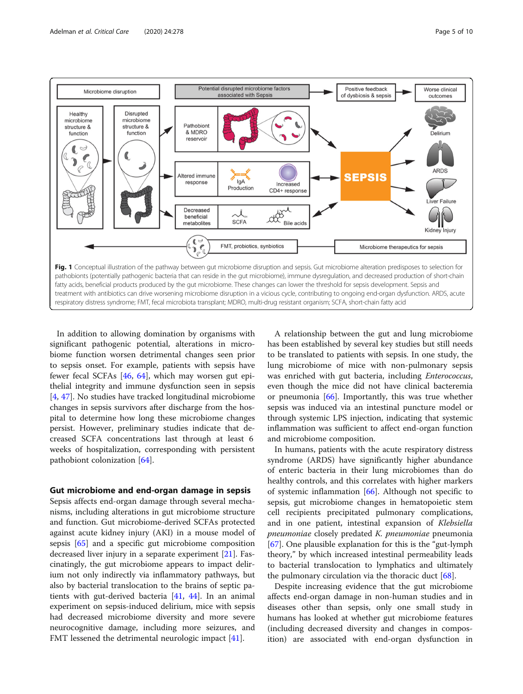<span id="page-4-0"></span>

In addition to allowing domination by organisms with significant pathogenic potential, alterations in microbiome function worsen detrimental changes seen prior to sepsis onset. For example, patients with sepsis have fewer fecal SCFAs [\[46,](#page-8-0) [64\]](#page-9-0), which may worsen gut epithelial integrity and immune dysfunction seen in sepsis [[4,](#page-7-0) [47\]](#page-8-0). No studies have tracked longitudinal microbiome changes in sepsis survivors after discharge from the hospital to determine how long these microbiome changes persist. However, preliminary studies indicate that decreased SCFA concentrations last through at least 6 weeks of hospitalization, corresponding with persistent pathobiont colonization [\[64](#page-9-0)].

#### Gut microbiome and end-organ damage in sepsis

Sepsis affects end-organ damage through several mechanisms, including alterations in gut microbiome structure and function. Gut microbiome-derived SCFAs protected against acute kidney injury (AKI) in a mouse model of sepsis [[65\]](#page-9-0) and a specific gut microbiome composition decreased liver injury in a separate experiment [\[21](#page-8-0)]. Fascinatingly, the gut microbiome appears to impact delirium not only indirectly via inflammatory pathways, but also by bacterial translocation to the brains of septic patients with gut-derived bacteria [\[41](#page-8-0), [44\]](#page-8-0). In an animal experiment on sepsis-induced delirium, mice with sepsis had decreased microbiome diversity and more severe neurocognitive damage, including more seizures, and FMT lessened the detrimental neurologic impact [\[41](#page-8-0)].

A relationship between the gut and lung microbiome has been established by several key studies but still needs to be translated to patients with sepsis. In one study, the lung microbiome of mice with non-pulmonary sepsis was enriched with gut bacteria, including Enterococcus, even though the mice did not have clinical bacteremia or pneumonia [\[66](#page-9-0)]. Importantly, this was true whether sepsis was induced via an intestinal puncture model or through systemic LPS injection, indicating that systemic inflammation was sufficient to affect end-organ function and microbiome composition.

In humans, patients with the acute respiratory distress syndrome (ARDS) have significantly higher abundance of enteric bacteria in their lung microbiomes than do healthy controls, and this correlates with higher markers of systemic inflammation  $[66]$ . Although not specific to sepsis, gut microbiome changes in hematopoietic stem cell recipients precipitated pulmonary complications, and in one patient, intestinal expansion of Klebsiella pneumoniae closely predated K. pneumoniae pneumonia [[67\]](#page-9-0). One plausible explanation for this is the "gut-lymph theory," by which increased intestinal permeability leads to bacterial translocation to lymphatics and ultimately the pulmonary circulation via the thoracic duct [[68](#page-9-0)].

Despite increasing evidence that the gut microbiome affects end-organ damage in non-human studies and in diseases other than sepsis, only one small study in humans has looked at whether gut microbiome features (including decreased diversity and changes in composition) are associated with end-organ dysfunction in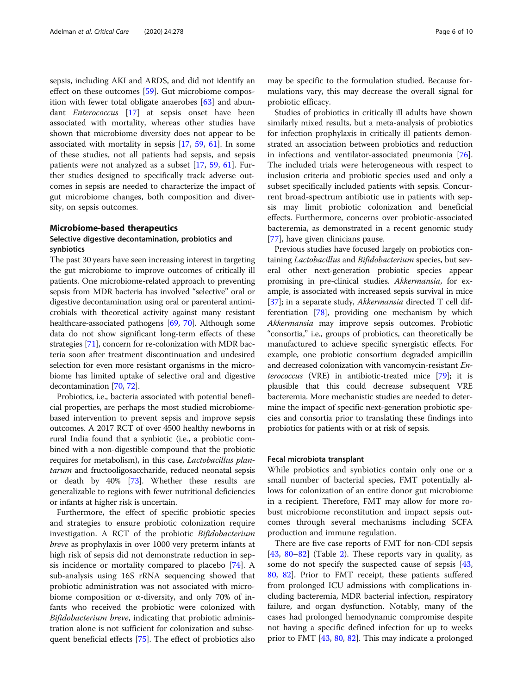sepsis, including AKI and ARDS, and did not identify an effect on these outcomes [[59](#page-9-0)]. Gut microbiome composition with fewer total obligate anaerobes [\[63](#page-9-0)] and abundant Enterococcus [\[17\]](#page-8-0) at sepsis onset have been associated with mortality, whereas other studies have shown that microbiome diversity does not appear to be associated with mortality in sepsis [\[17](#page-8-0), [59,](#page-9-0) [61\]](#page-9-0). In some of these studies, not all patients had sepsis, and sepsis patients were not analyzed as a subset [\[17,](#page-8-0) [59](#page-9-0), [61\]](#page-9-0). Further studies designed to specifically track adverse outcomes in sepsis are needed to characterize the impact of gut microbiome changes, both composition and diversity, on sepsis outcomes.

#### Microbiome-based therapeutics

#### Selective digestive decontamination, probiotics and synbiotics

The past 30 years have seen increasing interest in targeting the gut microbiome to improve outcomes of critically ill patients. One microbiome-related approach to preventing sepsis from MDR bacteria has involved "selective" oral or digestive decontamination using oral or parenteral antimicrobials with theoretical activity against many resistant healthcare-associated pathogens [\[69,](#page-9-0) [70\]](#page-9-0). Although some data do not show significant long-term effects of these strategies [\[71](#page-9-0)], concern for re-colonization with MDR bacteria soon after treatment discontinuation and undesired selection for even more resistant organisms in the microbiome has limited uptake of selective oral and digestive decontamination [\[70,](#page-9-0) [72\]](#page-9-0).

Probiotics, i.e., bacteria associated with potential beneficial properties, are perhaps the most studied microbiomebased intervention to prevent sepsis and improve sepsis outcomes. A 2017 RCT of over 4500 healthy newborns in rural India found that a synbiotic (i.e., a probiotic combined with a non-digestible compound that the probiotic requires for metabolism), in this case, Lactobacillus plantarum and fructooligosaccharide, reduced neonatal sepsis or death by 40% [[73](#page-9-0)]. Whether these results are generalizable to regions with fewer nutritional deficiencies or infants at higher risk is uncertain.

Furthermore, the effect of specific probiotic species and strategies to ensure probiotic colonization require investigation. A RCT of the probiotic Bifidobacterium breve as prophylaxis in over 1000 very preterm infants at high risk of sepsis did not demonstrate reduction in sepsis incidence or mortality compared to placebo [\[74](#page-9-0)]. A sub-analysis using 16S rRNA sequencing showed that probiotic administration was not associated with microbiome composition or α-diversity, and only 70% of infants who received the probiotic were colonized with Bifidobacterium breve, indicating that probiotic administration alone is not sufficient for colonization and subsequent beneficial effects [\[75\]](#page-9-0). The effect of probiotics also may be specific to the formulation studied. Because formulations vary, this may decrease the overall signal for probiotic efficacy.

Studies of probiotics in critically ill adults have shown similarly mixed results, but a meta-analysis of probiotics for infection prophylaxis in critically ill patients demonstrated an association between probiotics and reduction in infections and ventilator-associated pneumonia [\[76](#page-9-0)]. The included trials were heterogeneous with respect to inclusion criteria and probiotic species used and only a subset specifically included patients with sepsis. Concurrent broad-spectrum antibiotic use in patients with sepsis may limit probiotic colonization and beneficial effects. Furthermore, concerns over probiotic-associated bacteremia, as demonstrated in a recent genomic study [[77\]](#page-9-0), have given clinicians pause.

Previous studies have focused largely on probiotics containing Lactobacillus and Bifidobacterium species, but several other next-generation probiotic species appear promising in pre-clinical studies. Akkermansia, for example, is associated with increased sepsis survival in mice [[37](#page-8-0)]; in a separate study, *Akkermansia* directed T cell differentiation [\[78\]](#page-9-0), providing one mechanism by which Akkermansia may improve sepsis outcomes. Probiotic "consortia," i.e., groups of probiotics, can theoretically be manufactured to achieve specific synergistic effects. For example, one probiotic consortium degraded ampicillin and decreased colonization with vancomycin-resistant Enterococcus (VRE) in antibiotic-treated mice [\[79](#page-9-0)]; it is plausible that this could decrease subsequent VRE bacteremia. More mechanistic studies are needed to determine the impact of specific next-generation probiotic species and consortia prior to translating these findings into probiotics for patients with or at risk of sepsis.

#### Fecal microbiota transplant

While probiotics and synbiotics contain only one or a small number of bacterial species, FMT potentially allows for colonization of an entire donor gut microbiome in a recipient. Therefore, FMT may allow for more robust microbiome reconstitution and impact sepsis outcomes through several mechanisms including SCFA production and immune regulation.

There are five case reports of FMT for non-CDI sepsis [[43,](#page-8-0) [80](#page-9-0)–[82\]](#page-9-0) (Table [2](#page-6-0)). These reports vary in quality, as some do not specify the suspected cause of sepsis [[43](#page-8-0), [80,](#page-9-0) [82\]](#page-9-0). Prior to FMT receipt, these patients suffered from prolonged ICU admissions with complications including bacteremia, MDR bacterial infection, respiratory failure, and organ dysfunction. Notably, many of the cases had prolonged hemodynamic compromise despite not having a specific defined infection for up to weeks prior to FMT [[43,](#page-8-0) [80,](#page-9-0) [82\]](#page-9-0). This may indicate a prolonged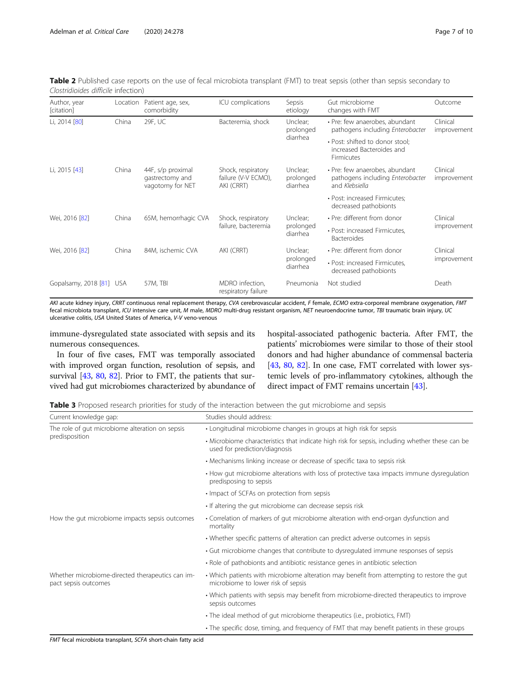<span id="page-6-0"></span>

| Table 2 Published case reports on the use of fecal microbiota transplant (FMT) to treat sepsis (other than sepsis secondary to |  |  |
|--------------------------------------------------------------------------------------------------------------------------------|--|--|
| Clostridioides difficile infection)                                                                                            |  |  |

| Author, year<br>[citation] | Location | Patient age, sex,<br>comorbidity                         | ICU complications                                       | Sepsis<br>etiology                | Gut microbiome<br>changes with FMT                                                   | Outcome                 |
|----------------------------|----------|----------------------------------------------------------|---------------------------------------------------------|-----------------------------------|--------------------------------------------------------------------------------------|-------------------------|
| Li, 2014 [80]              | China    | 29F, UC                                                  | Bacteremia, shock                                       | Unclear;<br>prolonged             | • Pre: few anaerobes, abundant<br>pathogens including Enterobacter                   | Clinical<br>improvement |
|                            |          |                                                          |                                                         | diarrhea                          | • Post: shifted to donor stool:<br>increased Bacteroides and<br>Firmicutes           |                         |
| Li, 2015 [43]              | China    | 44F, s/p proximal<br>gastrectomy and<br>vagotomy for NET | Shock, respiratory<br>failure (V-V ECMO),<br>AKI (CRRT) | Unclear;<br>prolonged<br>diarrhea | • Pre: few anaerobes, abundant<br>pathogens including Enterobacter<br>and Klebsiella | Clinical<br>improvement |
|                            |          |                                                          |                                                         |                                   | • Post: increased Firmicutes;<br>decreased pathobionts                               |                         |
| Wei, 2016 [82]             | China    | 65M, hemorrhagic CVA                                     | Shock, respiratory<br>failure, bacteremia               | Unclear;<br>prolonged<br>diarrhea | • Pre: different from donor                                                          | Clinical                |
|                            |          |                                                          |                                                         |                                   | • Post: increased Firmicutes,<br><b>Bacteroides</b>                                  | improvement             |
| Wei, 2016 [82]             | China    | 84M, ischemic CVA                                        | AKI (CRRT)                                              | Unclear;<br>prolonged<br>diarrhea | • Pre: different from donor                                                          | Clinical                |
|                            |          |                                                          |                                                         |                                   | • Post: increased Firmicutes.<br>decreased pathobionts                               | improvement             |
| Gopalsamy, 2018 [81] USA   |          | 57M, TBI                                                 | MDRO infection,<br>respiratory failure                  | Pneumonia                         | Not studied                                                                          | Death                   |

AKI acute kidney injury, CRRT continuous renal replacement therapy, CVA cerebrovascular accident, F female, ECMO extra-corporeal membrane oxygenation, FMT fecal microbiota transplant, ICU intensive care unit, M male, MDRO multi-drug resistant organism, NET neuroendocrine tumor, TBI traumatic brain injury, UC ulcerative colitis, USA United States of America, V-V veno-venous

immune-dysregulated state associated with sepsis and its numerous consequences.

In four of five cases, FMT was temporally associated with improved organ function, resolution of sepsis, and survival [[43,](#page-8-0) [80,](#page-9-0) [82](#page-9-0)]. Prior to FMT, the patients that survived had gut microbiomes characterized by abundance of hospital-associated pathogenic bacteria. After FMT, the patients' microbiomes were similar to those of their stool donors and had higher abundance of commensal bacteria [[43](#page-8-0), [80,](#page-9-0) [82\]](#page-9-0). In one case, FMT correlated with lower systemic levels of pro-inflammatory cytokines, although the direct impact of FMT remains uncertain [\[43\]](#page-8-0).

|  |  |  |  | <b>Table 3</b> Proposed research priorities for study of the interaction between the gut microbiome and sepsis |  |
|--|--|--|--|----------------------------------------------------------------------------------------------------------------|--|
|  |  |  |  |                                                                                                                |  |

| Current knowledge gap:                                                   | Studies should address:                                                                                                          |  |  |  |  |
|--------------------------------------------------------------------------|----------------------------------------------------------------------------------------------------------------------------------|--|--|--|--|
| The role of gut microbiome alteration on sepsis                          | • Longitudinal microbiome changes in groups at high risk for sepsis                                                              |  |  |  |  |
| predisposition                                                           | • Microbiome characteristics that indicate high risk for sepsis, including whether these can be<br>used for prediction/diagnosis |  |  |  |  |
|                                                                          | • Mechanisms linking increase or decrease of specific taxa to sepsis risk                                                        |  |  |  |  |
|                                                                          | • How gut microbiome alterations with loss of protective taxa impacts immune dysregulation<br>predisposing to sepsis             |  |  |  |  |
|                                                                          | • Impact of SCFAs on protection from sepsis                                                                                      |  |  |  |  |
|                                                                          | • If altering the gut microbiome can decrease sepsis risk                                                                        |  |  |  |  |
| How the gut microbiome impacts sepsis outcomes                           | • Correlation of markers of gut microbiome alteration with end-organ dysfunction and<br>mortality                                |  |  |  |  |
|                                                                          | • Whether specific patterns of alteration can predict adverse outcomes in sepsis                                                 |  |  |  |  |
|                                                                          | • Gut microbiome changes that contribute to dysregulated immune responses of sepsis                                              |  |  |  |  |
|                                                                          | • Role of pathobionts and antibiotic resistance genes in antibiotic selection                                                    |  |  |  |  |
| Whether microbiome-directed therapeutics can im-<br>pact sepsis outcomes | • Which patients with microbiome alteration may benefit from attempting to restore the gut<br>microbiome to lower risk of sepsis |  |  |  |  |
|                                                                          | • Which patients with sepsis may benefit from microbiome-directed therapeutics to improve<br>sepsis outcomes                     |  |  |  |  |
|                                                                          | • The ideal method of gut microbiome therapeutics (i.e., probiotics, FMT)                                                        |  |  |  |  |
|                                                                          | • The specific dose, timing, and frequency of FMT that may benefit patients in these groups                                      |  |  |  |  |

FMT fecal microbiota transplant, SCFA short-chain fatty acid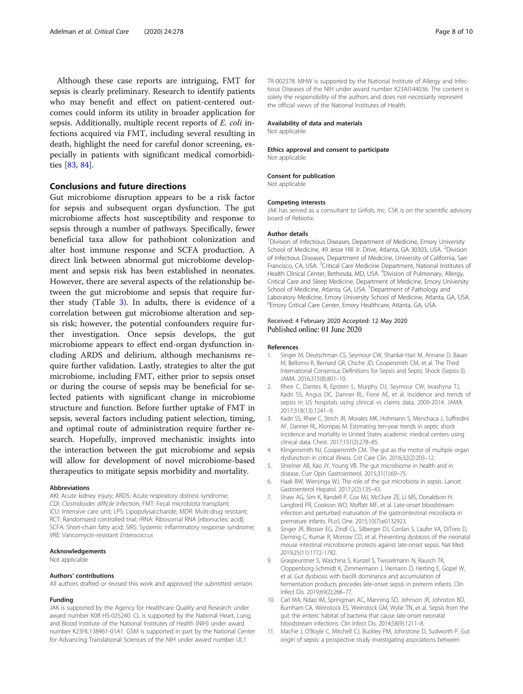<span id="page-7-0"></span>Although these case reports are intriguing, FMT for sepsis is clearly preliminary. Research to identify patients who may benefit and effect on patient-centered outcomes could inform its utility in broader application for sepsis. Additionally, multiple recent reports of E. coli infections acquired via FMT, including several resulting in death, highlight the need for careful donor screening, especially in patients with significant medical comorbidities [[83,](#page-9-0) [84](#page-9-0)].

#### Conclusions and future directions

Gut microbiome disruption appears to be a risk factor for sepsis and subsequent organ dysfunction. The gut microbiome affects host susceptibility and response to sepsis through a number of pathways. Specifically, fewer beneficial taxa allow for pathobiont colonization and alter host immune response and SCFA production. A direct link between abnormal gut microbiome development and sepsis risk has been established in neonates. However, there are several aspects of the relationship between the gut microbiome and sepsis that require further study (Table [3\)](#page-6-0). In adults, there is evidence of a correlation between gut microbiome alteration and sepsis risk; however, the potential confounders require further investigation. Once sepsis develops, the gut microbiome appears to effect end-organ dysfunction including ARDS and delirium, although mechanisms require further validation. Lastly, strategies to alter the gut microbiome, including FMT, either prior to sepsis onset or during the course of sepsis may be beneficial for selected patients with significant change in microbiome structure and function. Before further uptake of FMT in sepsis, several factors including patient selection, timing, and optimal route of administration require further research. Hopefully, improved mechanistic insights into the interaction between the gut microbiome and sepsis will allow for development of novel microbiome-based therapeutics to mitigate sepsis morbidity and mortality.

#### Abbreviations

AKI: Acute kidney injury; ARDS: Acute respiratory distress syndrome; CDI: Clostridioides difficile infection; FMT: Fecal microbiota transplant; ICU: Intensive care unit; LPS: Lipopolysaccharide; MDR: Multi-drug resistant; RCT: Randomized controlled trial; rRNA: Ribosomal RNA [ribonucleic acid]; SCFA: Short-chain fatty acid; SIRS: Systemic inflammatory response syndrome; VRE: Vancomycin-resistant Enterococcus

#### Acknowledgements

Not applicable

#### Authors' contributions

All authors drafted or revised this work and approved the submitted version.

#### Funding

JAK is supported by the Agency for Healthcare Quality and Research under award number K08 HS-025240. CL is supported by the National Heart, Lung, and Blood Institute of the National Institutes of Health (NIH) under award number K23HL138461-01A1. GSM is supported in part by the National Center for Advancing Translational Sciences of the NIH under award number UL1

TR-002378. MHW is supported by the National Institute of Allergy and Infectious Diseases of the NIH under award number K23AI144036. The content is solely the responsibility of the authors and does not necessarily represent the official views of the National Institutes of Health.

#### Availability of data and materials

Not applicable

#### Ethics approval and consent to participate

Not applicable

#### Consent for publication

Not applicable

#### Competing interests

JAK has served as a consultant to Grifols, Inc. CSK is on the scientific advisory board of Rebiotix.

#### Author details

<sup>1</sup> Division of Infectious Diseases, Department of Medicine, Emory University School of Medicine, 49 Jesse Hill Jr. Drive, Atlanta, GA 30303, USA. <sup>2</sup>Division of Infectious Diseases, Department of Medicine, University of California, San Francisco, CA, USA. <sup>3</sup>Critical Care Medicine Department, National Institutes of Health Clinical Center, Bethesda, MD, USA. <sup>4</sup>Division of Pulmonary, Allergy, Critical Care and Sleep Medicine, Department of Medicine, Emory University School of Medicine, Atlanta, GA, USA. <sup>5</sup>Department of Pathology and Laboratory Medicine, Emory University School of Medicine, Atlanta, GA, USA. 6 Emory Critical Care Center, Emory Healthcare, Atlanta, GA, USA.

### Received: 4 February 2020 Accepted: 12 May 2020<br>Published online: 01 June 2020

#### References

- 1. Singer M, Deutschman CS, Seymour CW, Shankar-Hari M, Annane D, Bauer M, Bellomo R, Bernard GR, Chiche JD, Coopersmith CM, et al. The Third International Consensus Definitions for Sepsis and Septic Shock (Sepsis-3). JAMA. 2016;315(8):801–10.
- 2. Rhee C, Dantes R, Epstein L, Murphy DJ, Seymour CW, Iwashyna TJ, Kadri SS, Angus DC, Danner RL, Fiore AE, et al. Incidence and trends of sepsis in US hospitals using clinical vs claims data, 2009-2014. JAMA. 2017;318(13):1241–9.
- 3. Kadri SS, Rhee C, Strich JR, Morales MK, Hohmann S, Menchaca J, Suffredini AF, Danner RL, Klompas M. Estimating ten-year trends in septic shock incidence and mortality in United States academic medical centers using clinical data. Chest. 2017;151(2):278–85.
- 4. Klingensmith NJ, Coopersmith CM. The gut as the motor of multiple organ dysfunction in critical illness. Crit Care Clin. 2016;32(2):203–12.
- 5. Shreiner AB, Kao JY, Young VB. The gut microbiome in health and in disease. Curr Opin Gastroenterol. 2015;31(1):69–75.
- 6. Haak BW, Wiersinga WJ. The role of the gut microbiota in sepsis. Lancet Gastroenterol Hepatol. 2017;2(2):135–43.
- 7. Shaw AG, Sim K, Randell P, Cox MJ, McClure ZE, Li MS, Donaldson H, Langford PR, Cookson WO, Moffatt MF, et al. Late-onset bloodstream infection and perturbed maturation of the gastrointestinal microbiota in premature infants. PLoS One. 2015;10(7):e0132923.
- 8. Singer JR, Blosser EG, Zindl CL, Silberger DJ, Conlan S, Laufer VA, DiToro D, Deming C, Kumar R, Morrow CD, et al. Preventing dysbiosis of the neonatal mouse intestinal microbiome protects against late-onset sepsis. Nat Med. 2019;25(11):1772-1782.
- 9. Graspeuntner S, Waschina S, Kunzel S, Twisselmann N, Rausch TK, Cloppenborg-Schmidt K, Zimmermann J, Viemann D, Herting E, Gopel W, et al. Gut dysbiosis with bacilli dominance and accumulation of fermentation products precedes late-onset sepsis in preterm infants. Clin Infect Dis. 2019;69(2):268–77.
- 10. Carl MA, Ndao IM, Springman AC, Manning SD, Johnson JR, Johnston BD, Burnham CA, Weinstock ES, Weinstock GM, Wylie TN, et al. Sepsis from the gut: the enteric habitat of bacteria that cause late-onset neonatal bloodstream infections. Clin Infect Dis. 2014;58(9):1211–8.
- 11. MacFie J, O'Boyle C, Mitchell CJ, Buckley PM, Johnstone D, Sudworth P. Gut origin of sepsis: a prospective study investigating associations between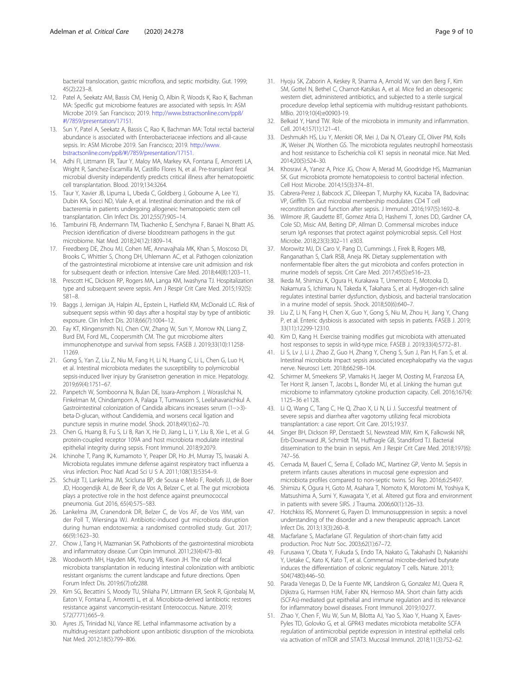<span id="page-8-0"></span>bacterial translocation, gastric microflora, and septic morbidity. Gut. 1999; 45(2):223–8.

- 12. Patel A, Seekatz AM, Bassis CM, Henig O, Albin R, Woods K, Rao K, Bachman MA: Specific gut microbiome features are associated with sepsis. In: ASM Microbe 2019. San Francisco; 2019. [http://www.bstractsonline.com/pp8/](http://www.bstractsonline.com/pp8/#!/7859/presentation/17151) [#!/7859/presentation/17151](http://www.bstractsonline.com/pp8/#!/7859/presentation/17151).
- 13. Sun Y, Patel A, Seekatz A, Bassis C, Rao K, Bachman MA: Total rectal bacterial abundance is associated with Enterobacteriaceae infections and all-cause sepsis. In: ASM Microbe 2019. San Francisco; 2019. [http://www.](http://www.bstractsonline.com/pp8/#!/7859/presentation/17151) [bstractsonline.com/pp8/#!/7859/presentation/17151](http://www.bstractsonline.com/pp8/#!/7859/presentation/17151).
- 14. Adhi FI, Littmann ER, Taur Y, Maloy MA, Markey KA, Fontana E, Amoretti LA, Wright R, Sanchez-Escamilla M, Castillo Flores N, et al. Pre-transplant fecal microbial diversity independently predicts critical illness after hematopoietic cell transplantation. Blood. 2019;134:3264.
- 15. Taur Y, Xavier JB, Lipuma L, Ubeda C, Goldberg J, Gobourne A, Lee YJ, Dubin KA, Socci ND, Viale A, et al. Intestinal domination and the risk of bacteremia in patients undergoing allogeneic hematopoietic stem cell transplantation. Clin Infect Dis. 2012;55(7):905–14.
- 16. Tamburini FB, Andermann TM, Tkachenko E, Senchyna F, Banaei N, Bhatt AS. Precision identification of diverse bloodstream pathogens in the gut microbiome. Nat Med. 2018;24(12):1809–14.
- 17. Freedberg DE, Zhou MJ, Cohen ME, Annavajhala MK, Khan S, Moscoso DI, Brooks C, Whittier S, Chong DH, Uhlemann AC, et al. Pathogen colonization of the gastrointestinal microbiome at intensive care unit admission and risk for subsequent death or infection. Intensive Care Med. 2018;44(8):1203–11.
- 18. Prescott HC, Dickson RP, Rogers MA, Langa KM, Iwashyna TJ. Hospitalization type and subsequent severe sepsis. Am J Respir Crit Care Med. 2015;192(5): 581–8.
- 19. Baggs J, Jernigan JA, Halpin AL, Epstein L, Hatfield KM, McDonald LC. Risk of subsequent sepsis within 90 days after a hospital stay by type of antibiotic exposure. Clin Infect Dis. 2018;66(7):1004–12.
- 20. Fay KT, Klingensmith NJ, Chen CW, Zhang W, Sun Y, Morrow KN, Liang Z, Burd EM, Ford ML, Coopersmith CM. The gut microbiome alters immunophenotype and survival from sepsis. FASEB J. 2019;33(10):11258- 11269.
- 21. Gong S, Yan Z, Liu Z, Niu M, Fang H, Li N, Huang C, Li L, Chen G, Luo H, et al. Intestinal microbiota mediates the susceptibility to polymicrobial sepsis-induced liver injury by Granisetron generation in mice. Hepatology. 2019;69(4):1751–67.
- 22. Panpetch W, Somboonna N, Bulan DE, Issara-Amphorn J, Worasilchai N, Finkelman M, Chindamporn A, Palaga T, Tumwasorn S, Leelahavanichkul A. Gastrointestinal colonization of Candida albicans increases serum (1-->3) beta-D-glucan, without Candidemia, and worsens cecal ligation and puncture sepsis in murine model. Shock. 2018;49(1):62–70.
- 23. Chen G, Huang B, Fu S, Li B, Ran X, He D, Jiang L, Li Y, Liu B, Xie L, et al. G protein-coupled receptor 109A and host microbiota modulate intestinal epithelial integrity during sepsis. Front Immunol. 2018;9:2079.
- 24. Ichinohe T, Pang IK, Kumamoto Y, Peaper DR, Ho JH, Murray TS, Iwasaki A. Microbiota regulates immune defense against respiratory tract influenza a virus infection. Proc Natl Acad Sci U S A. 2011;108(13):5354–9.
- 25. Schuijt TJ, Lankelma JM, Scicluna BP, de Sousa e Melo F, Roelofs JJ, de Boer JD, Hoogendijk AJ, de Beer R, de Vos A, Belzer C, et al. The gut microbiota plays a protective role in the host defence against pneumococcal pneumonia. Gut 2016, 65(4):575–583.
- 26. Lankelma JM, Cranendonk DR, Belzer C, de Vos AF, de Vos WM, van der Poll T, Wiersinga WJ. Antibiotic-induced gut microbiota disruption during human endotoxemia: a randomised controlled study. Gut. 2017; 66(9):1623–30.
- 27. Chow J, Tang H, Mazmanian SK. Pathobionts of the gastrointestinal microbiota and inflammatory disease. Curr Opin Immunol. 2011;23(4):473–80.
- 28. Woodworth MH, Hayden MK, Young VB, Kwon JH. The role of fecal microbiota transplantation in reducing intestinal colonization with antibiotic resistant organisms: the current landscape and future directions. Open Forum Infect Dis. 2019;6(7):ofz288.
- 29. Kim SG, Becattini S, Moody TU, Shliaha PV, Littmann ER, Seok R, Gjonbalaj M, Eaton V, Fontana E, Amoretti L, et al. Microbiota-derived lantibiotic restores resistance against vancomycin-resistant Enterococcus. Nature. 2019; 572(7771):665–9.
- 30. Ayres JS, Trinidad NJ, Vance RE. Lethal inflammasome activation by a multidrug-resistant pathobiont upon antibiotic disruption of the microbiota. Nat Med. 2012;18(5):799–806.
- 31. Hyoju SK, Zaborin A, Keskey R, Sharma A, Arnold W, van den Berg F, Kim SM, Gottel N, Bethel C, Charnot-Katsikas A, et al. Mice fed an obesogenic western diet, administered antibiotics, and subjected to a sterile surgical procedure develop lethal septicemia with multidrug-resistant pathobionts. MBio. 2019;10(4):e00903-19.
- 32. Belkaid Y, Hand TW. Role of the microbiota in immunity and inflammation. Cell. 2014;157(1):121–41.
- 33. Deshmukh HS, Liu Y, Menkiti OR, Mei J, Dai N, O'Leary CE, Oliver PM, Kolls JK, Weiser JN, Worthen GS. The microbiota regulates neutrophil homeostasis and host resistance to Escherichia coli K1 sepsis in neonatal mice. Nat Med. 2014;20(5):524–30.
- 34. Khosravi A, Yanez A, Price JG, Chow A, Merad M, Goodridge HS, Mazmanian SK. Gut microbiota promote hematopoiesis to control bacterial infection. Cell Host Microbe. 2014;15(3):374–81.
- 35. Cabrera-Perez J, Babcock JC, Dileepan T, Murphy KA, Kucaba TA, Badovinac VP, Griffith TS. Gut microbial membership modulates CD4 T cell reconstitution and function after sepsis. J Immunol. 2016;197(5):1692–8.
- 36. Wilmore JR, Gaudette BT, Gomez Atria D, Hashemi T, Jones DD, Gardner CA, Cole SD, Misic AM, Beiting DP, Allman D. Commensal microbes induce serum IgA responses that protect against polymicrobial sepsis. Cell Host Microbe. 2018;23(3):302–11 e303.
- 37. Morowitz MJ, Di Caro V, Pang D, Cummings J, Firek B, Rogers MB, Ranganathan S, Clark RSB, Aneja RK. Dietary supplementation with nonfermentable fiber alters the gut microbiota and confers protection in murine models of sepsis. Crit Care Med. 2017;45(5):e516–23.
- 38. Ikeda M, Shimizu K, Ogura H, Kurakawa T, Umemoto E, Motooka D, Nakamura S, Ichimaru N, Takeda K, Takahara S, et al. Hydrogen-rich saline regulates intestinal barrier dysfunction, dysbiosis, and bacterial translocation in a murine model of sepsis. Shock. 2018;50(6):640–7.
- 39. Liu Z, Li N, Fang H, Chen X, Guo Y, Gong S, Niu M, Zhou H, Jiang Y, Chang P, et al. Enteric dysbiosis is associated with sepsis in patients. FASEB J. 2019; 33(11):12299-12310.
- 40. Kim D, Kang H. Exercise training modifies gut microbiota with attenuated host responses to sepsis in wild-type mice. FASEB J. 2019;33(4):5772–81.
- 41. Li S, Lv J, Li J, Zhao Z, Guo H, Zhang Y, Cheng S, Sun J, Pan H, Fan S, et al. Intestinal microbiota impact sepsis associated encephalopathy via the vagus nerve. Neurosci Lett. 2018;662:98–104.
- 42. Schirmer M, Smeekens SP, Vlamakis H, Jaeger M, Oosting M, Franzosa EA, Ter Horst R, Jansen T, Jacobs L, Bonder MJ, et al. Linking the human gut microbiome to inflammatory cytokine production capacity. Cell. 2016;167(4): 1125–36 e1128.
- 43. Li Q, Wang C, Tang C, He Q, Zhao X, Li N, Li J. Successful treatment of severe sepsis and diarrhea after vagotomy utilizing fecal microbiota transplantation: a case report. Crit Care. 2015;19:37.
- 44. Singer BH, Dickson RP, Denstaedt SJ, Newstead MW, Kim K, Falkowski NR, Erb-Downward JR, Schmidt TM, Huffnagle GB, Standiford TJ. Bacterial dissemination to the brain in sepsis. Am J Respir Crit Care Med. 2018;197(6): 747–56.
- 45. Cernada M, Bauerl C, Serna E, Collado MC, Martinez GP, Vento M. Sepsis in preterm infants causes alterations in mucosal gene expression and microbiota profiles compared to non-septic twins. Sci Rep. 2016;6:25497.
- Shimizu K, Ogura H, Goto M, Asahara T, Nomoto K, Morotomi M, Yoshiya K, Matsushima A, Sumi Y, Kuwagata Y, et al. Altered gut flora and environment in patients with severe SIRS. J Trauma. 2006;60(1):126–33.
- 47. Hotchkiss RS, Monneret G, Payen D. Immunosuppression in sepsis: a novel understanding of the disorder and a new therapeutic approach. Lancet Infect Dis. 2013;13(3):260–8.
- 48. Macfarlane S, Macfarlane GT. Regulation of short-chain fatty acid production. Proc Nutr Soc. 2003;62(1):67–72.
- 49. Furusawa Y, Obata Y, Fukuda S, Endo TA, Nakato G, Takahashi D, Nakanishi Y, Uetake C, Kato K, Kato T, et al. Commensal microbe-derived butyrate induces the differentiation of colonic regulatory T cells. Nature. 2013; 504(7480):446–50.
- 50. Parada Venegas D, De la Fuente MK, Landskron G, Gonzalez MJ, Quera R, Dijkstra G, Harmsen HJM, Faber KN, Hermoso MA. Short chain fatty acids (SCFAs)-mediated gut epithelial and immune regulation and its relevance for inflammatory bowel diseases. Front Immunol. 2019;10:277.
- 51. Zhao Y, Chen F, Wu W, Sun M, Bilotta AJ, Yao S, Xiao Y, Huang X, Eaves-Pyles TD, Golovko G, et al. GPR43 mediates microbiota metabolite SCFA regulation of antimicrobial peptide expression in intestinal epithelial cells via activation of mTOR and STAT3. Mucosal Immunol. 2018;11(3):752–62.